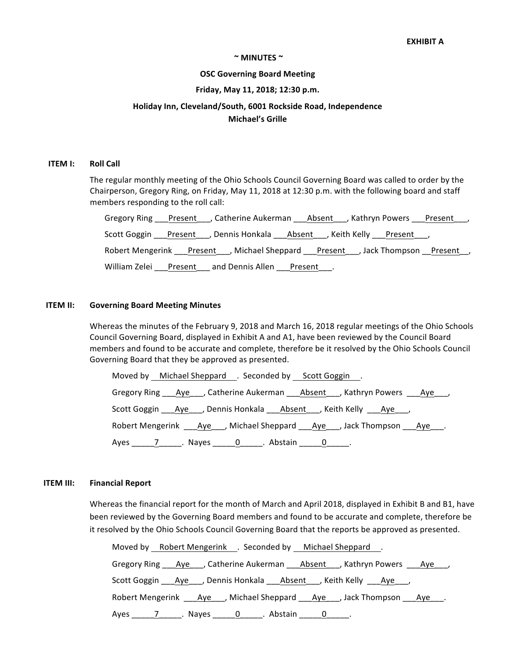#### $\sim$  MINUTES  $\sim$

#### **OSC Governing Board Meeting**

#### **Friday, May 11, 2018; 12:30 p.m.**

# **Holiday Inn, Cleveland/South, 6001 Rockside Road, Independence**

## **Michael's Grille**

#### **ITEM I: Roll Call**

The regular monthly meeting of the Ohio Schools Council Governing Board was called to order by the Chairperson, Gregory Ring, on Friday, May 11, 2018 at 12:30 p.m. with the following board and staff members responding to the roll call:

|               | Gregory Ring ___Present____, Catherine Aukerman ____Absent____, Kathryn Powers ____Present____, |         |  |
|---------------|-------------------------------------------------------------------------------------------------|---------|--|
|               | Scott Goggin ___Present____, Dennis Honkala ____Absent____, Keith Kelly ___Present____,         |         |  |
|               | Robert Mengerink ___Present____, Michael Sheppard ___Present____, Jack Thompson __Present___,   |         |  |
| William Zelei | and Dennis Allen<br>Present                                                                     | Present |  |

#### **ITEM II:** Governing Board Meeting Minutes

Whereas the minutes of the February 9, 2018 and March 16, 2018 regular meetings of the Ohio Schools Council Governing Board, displayed in Exhibit A and A1, have been reviewed by the Council Board members and found to be accurate and complete, therefore be it resolved by the Ohio Schools Council Governing Board that they be approved as presented.

Moved by Michael Sheppard Acconded by Scott Goggin Accords Gregory Ring \_\_\_Aye\_\_\_, Catherine Aukerman \_\_\_Absent\_\_\_, Kathryn Powers \_\_\_Aye\_\_\_, Scott Goggin Aye , Dennis Honkala Absent , Keith Kelly Aye, Robert Mengerink \_\_\_Aye\_\_\_, Michael Sheppard \_\_\_Aye\_\_\_, Jack Thompson \_\_\_Aye\_\_\_. Ayes 7 Nayes 0 Abstain 0 .

#### **ITEM III: Financial Report**

Whereas the financial report for the month of March and April 2018, displayed in Exhibit B and B1, have been reviewed by the Governing Board members and found to be accurate and complete, therefore be it resolved by the Ohio Schools Council Governing Board that the reports be approved as presented.

| Moved by Robert Mengerink . Seconded by Michael Sheppard .                                  |
|---------------------------------------------------------------------------------------------|
| Gregory Ring ____ Aye____, Catherine Aukerman _____ Absent____, Kathryn Powers ____Aye____, |
| Scott Goggin ____ Aye____, Dennis Honkala ____ Absent____, Keith Kelly _____Aye____,        |
| Robert Mengerink ____ Aye____, Michael Sheppard _____ Aye____, Jack Thompson _____ Aye____. |
| Ayes 7 ___________. Nayes <u>______0</u> ______. Abstain ______0 ______.                    |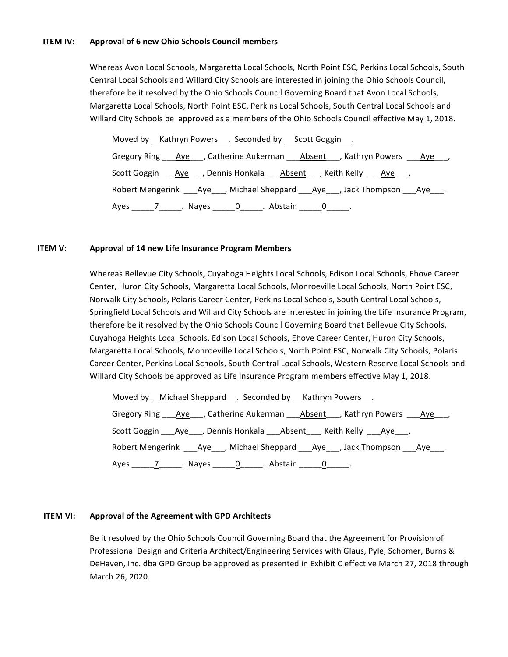#### **ITEM IV:** Approval of 6 new Ohio Schools Council members

Whereas Avon Local Schools, Margaretta Local Schools, North Point ESC, Perkins Local Schools, South Central Local Schools and Willard City Schools are interested in joining the Ohio Schools Council, therefore be it resolved by the Ohio Schools Council Governing Board that Avon Local Schools, Margaretta Local Schools, North Point ESC, Perkins Local Schools, South Central Local Schools and Willard City Schools be approved as a members of the Ohio Schools Council effective May 1, 2018.

| Moved by Kathryn Powers . Seconded by Scott Goggin .                                       |
|--------------------------------------------------------------------------------------------|
| Gregory Ring ____ Aye____, Catherine Aukerman ____ Absent____, Kathryn Powers ____Aye____, |
| Scott Goggin ___ Aye___, Dennis Honkala ___ Absent___, Keith Kelly ___ Aye___,             |
| Robert Mengerink ____Aye____, Michael Sheppard ____Aye____, Jack Thompson ____Aye____.     |
| Ayes 7 ___________. Nayes <u>_______0</u> ______. Abstain _______0 ______.                 |

#### **ITEM V:** Approval of 14 new Life Insurance Program Members

Whereas Bellevue City Schools, Cuyahoga Heights Local Schools, Edison Local Schools, Ehove Career Center, Huron City Schools, Margaretta Local Schools, Monroeville Local Schools, North Point ESC, Norwalk City Schools, Polaris Career Center, Perkins Local Schools, South Central Local Schools, Springfield Local Schools and Willard City Schools are interested in joining the Life Insurance Program, therefore be it resolved by the Ohio Schools Council Governing Board that Bellevue City Schools, Cuyahoga Heights Local Schools, Edison Local Schools, Ehove Career Center, Huron City Schools, Margaretta Local Schools, Monroeville Local Schools, North Point ESC, Norwalk City Schools, Polaris Career Center, Perkins Local Schools, South Central Local Schools, Western Reserve Local Schools and Willard City Schools be approved as Life Insurance Program members effective May 1, 2018.

| Moved by Michael Sheppard . Seconded by Kathryn Powers .                 |  |                                                                                             |  |
|--------------------------------------------------------------------------|--|---------------------------------------------------------------------------------------------|--|
|                                                                          |  | Gregory Ring Aye Catherine Aukerman Absent Kathryn Powers Aye Aye                           |  |
|                                                                          |  | Scott Goggin ____ Aye_____, Dennis Honkala ____ Absent____, Keith Kelly _____ Aye____,      |  |
|                                                                          |  | Robert Mengerink ____________, Michael Sheppard ______Aye_____, Jack Thompson _____Aye____. |  |
| Ayes ________________. Nayes ________0_______. Abstain ________0_______. |  |                                                                                             |  |

#### **ITEM VI:** Approval of the Agreement with GPD Architects

Be it resolved by the Ohio Schools Council Governing Board that the Agreement for Provision of Professional Design and Criteria Architect/Engineering Services with Glaus, Pyle, Schomer, Burns & DeHaven, Inc. dba GPD Group be approved as presented in Exhibit C effective March 27, 2018 through March 26, 2020.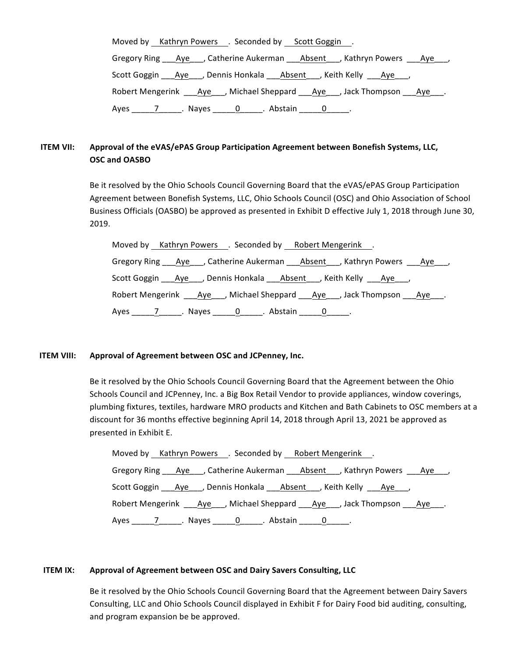| Moved by Kathryn Powers . Seconded by Scott Goggin .                                        |
|---------------------------------------------------------------------------------------------|
| Gregory Ring ___Aye___, Catherine Aukerman ___Absent___, Kathryn Powers ___Aye___,          |
| Scott Goggin ____ Aye____, Dennis Honkala _____ Absent ____, Keith Kelly _____Aye____,      |
| Robert Mengerink ____ Aye____, Michael Sheppard _____ Aye____, Jack Thompson _____ Aye____. |
| Ayes 7 __________. Nayes <u>_______0</u> ______. Abstain _______0 ______.                   |

## **ITEM VII:** Approval of the eVAS/ePAS Group Participation Agreement between Bonefish Systems, LLC, **OSC** and **OASBO**

Be it resolved by the Ohio Schools Council Governing Board that the eVAS/ePAS Group Participation Agreement between Bonefish Systems, LLC, Ohio Schools Council (OSC) and Ohio Association of School Business Officials (OASBO) be approved as presented in Exhibit D effective July 1, 2018 through June 30, 2019. 

|  |  |  | Moved by Kathryn Powers . Seconded by Robert Mengerink .                                    |  |
|--|--|--|---------------------------------------------------------------------------------------------|--|
|  |  |  | Gregory Ring ____ Aye____, Catherine Aukerman _____ Absent____, Kathryn Powers ____Aye____, |  |
|  |  |  | Scott Goggin ____ Aye____, Dennis Honkala ____ Absent____, Keith Kelly _____ Aye____,       |  |
|  |  |  | Robert Mengerink ____ Aye____, Michael Sheppard _____ Aye____, Jack Thompson _____ Aye____. |  |
|  |  |  |                                                                                             |  |

### **ITEM VIII:** Approval of Agreement between OSC and JCPenney, Inc.

Be it resolved by the Ohio Schools Council Governing Board that the Agreement between the Ohio Schools Council and JCPenney, Inc. a Big Box Retail Vendor to provide appliances, window coverings, plumbing fixtures, textiles, hardware MRO products and Kitchen and Bath Cabinets to OSC members at a discount for 36 months effective beginning April 14, 2018 through April 13, 2021 be approved as presented in Exhibit E.

| Moved by Kathryn Powers . Seconded by Robert Mengerink .                                   |
|--------------------------------------------------------------------------------------------|
| Gregory Ring ____ Aye____, Catherine Aukerman ____ Absent____, Kathryn Powers ____Aye____, |
| Scott Goggin ___Aye___, Dennis Honkala ___Absent___, Keith Kelly ___Aye___,                |
| Robert Mengerink ____Aye____, Michael Sheppard ____Aye____, Jack Thompson ____Aye____.     |
| Ayes _______________. Nayes _______0_______. Abstain _______0_______.                      |

### **ITEM IX:** Approval of Agreement between OSC and Dairy Savers Consulting, LLC

Be it resolved by the Ohio Schools Council Governing Board that the Agreement between Dairy Savers Consulting, LLC and Ohio Schools Council displayed in Exhibit F for Dairy Food bid auditing, consulting, and program expansion be be approved.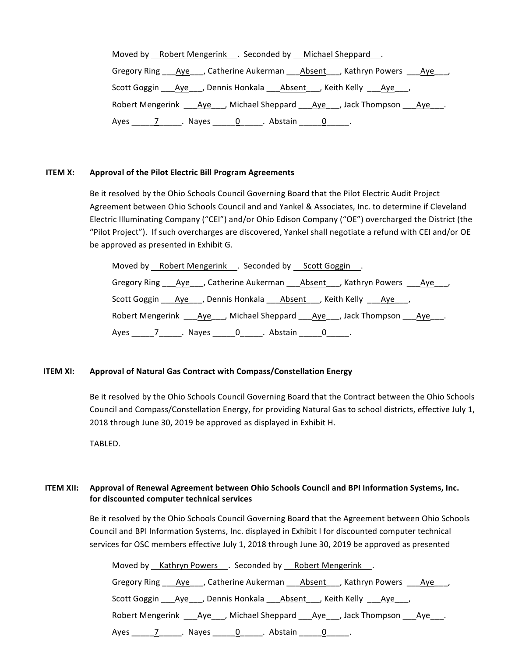| Moved by Robert Mengerink . Seconded by Michael Sheppard.                                |
|------------------------------------------------------------------------------------------|
| Gregory Ring ____Aye____, Catherine Aukerman ____Absent____, Kathryn Powers ____Aye____, |
| Scott Goggin ___ Aye____, Dennis Honkala ____ Absent____, Keith Kelly ____Aye____,       |
| Robert Mengerink ____Aye____, Michael Sheppard ____Aye____, Jack Thompson ____Aye____.   |
| Ayes _______________. Nayes _______0_______. Abstain _______0_______.                    |

#### **ITEM X:** Approval of the Pilot Electric Bill Program Agreements

Be it resolved by the Ohio Schools Council Governing Board that the Pilot Electric Audit Project Agreement between Ohio Schools Council and and Yankel & Associates, Inc. to determine if Cleveland Electric Illuminating Company ("CEI") and/or Ohio Edison Company ("OE") overcharged the District (the "Pilot Project"). If such overcharges are discovered, Yankel shall negotiate a refund with CEI and/or OE be approved as presented in Exhibit G.

| Moved by Robert Mengerink . Seconded by Scott Goggin .                                  |
|-----------------------------------------------------------------------------------------|
| Gregory Ring ___Aye___, Catherine Aukerman ____Absent___, Kathryn Powers ___Aye___,     |
| Scott Goggin ____ Aye_____, Dennis Honkala _____ Absent____, Keith Kelly _____ Aye____, |
| Robert Mengerink ____ Aye____, Michael Sheppard ____Aye____, Jack Thompson ____Aye____. |
|                                                                                         |

### **ITEM XI:** Approval of Natural Gas Contract with Compass/Constellation Energy

Be it resolved by the Ohio Schools Council Governing Board that the Contract between the Ohio Schools Council and Compass/Constellation Energy, for providing Natural Gas to school districts, effective July 1, 2018 through June 30, 2019 be approved as displayed in Exhibit H.

TABLED.

## **ITEM XII:** Approval of Renewal Agreement between Ohio Schools Council and BPI Information Systems, Inc. **for discounted computer technical services**

Be it resolved by the Ohio Schools Council Governing Board that the Agreement between Ohio Schools Council and BPI Information Systems, Inc. displayed in Exhibit I for discounted computer technical services for OSC members effective July 1, 2018 through June 30, 2019 be approved as presented

| Moved by Kathryn Powers . Seconded by Robert Mengerink .                                |  |
|-----------------------------------------------------------------------------------------|--|
| Gregory Ring ___Aye____, Catherine Aukerman ____Absent____, Kathryn Powers ____Aye____, |  |
| Scott Goggin ____ Aye_____, Dennis Honkala ____ Absent____, Keith Kelly _____ Aye____,  |  |
| Robert Mengerink ____ Aye____, Michael Sheppard ____Aye____, Jack Thompson ____Aye____. |  |
| Ayes ________________. Nayes ________0_______. Abstain ________0_______.                |  |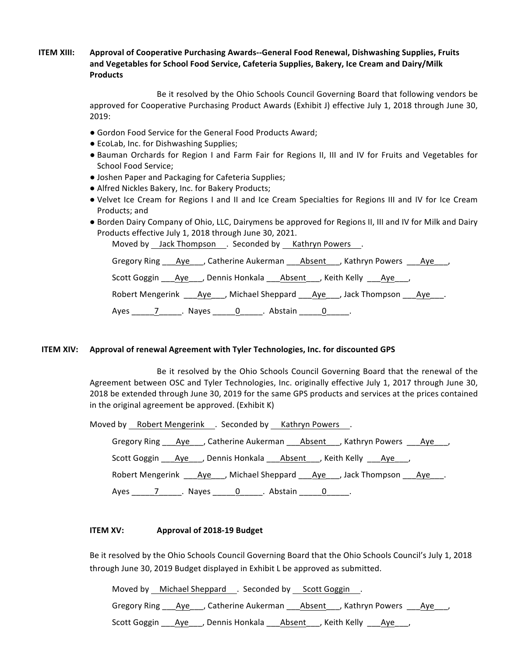## **ITEM XIII:** Approval of Cooperative Purchasing Awards--General Food Renewal, Dishwashing Supplies, Fruits and Vegetables for School Food Service, Cafeteria Supplies, Bakery, Ice Cream and Dairy/Milk **Products**

Be it resolved by the Ohio Schools Council Governing Board that following vendors be approved for Cooperative Purchasing Product Awards (Exhibit J) effective July 1, 2018 through June 30, 2019:

- Gordon Food Service for the General Food Products Award;
- EcoLab, Inc. for Dishwashing Supplies;
- Bauman Orchards for Region I and Farm Fair for Regions II, III and IV for Fruits and Vegetables for School Food Service;
- Joshen Paper and Packaging for Cafeteria Supplies;
- Alfred Nickles Bakery, Inc. for Bakery Products;
- Velvet Ice Cream for Regions I and II and Ice Cream Specialties for Regions III and IV for Ice Cream Products; and
- Borden Dairy Company of Ohio, LLC, Dairymens be approved for Regions II, III and IV for Milk and Dairy Products effective July 1, 2018 through June 30, 2021.

Moved by Jack Thompson . Seconded by Kathryn Powers .

Gregory Ring \_\_\_Aye\_\_\_, Catherine Aukerman \_\_\_Absent \_\_\_, Kathryn Powers \_\_\_Aye\_\_\_, Scott Goggin \_\_\_Aye\_\_\_, Dennis Honkala \_\_\_Absent\_\_\_, Keith Kelly \_\_\_Aye\_\_\_, Robert Mengerink \_\_\_Aye\_\_\_, Michael Sheppard \_\_\_Aye\_\_\_, Jack Thompson \_\_\_Aye\_\_\_. Ayes \_\_\_\_\_\_\_\_\_\_\_\_\_\_\_\_. Nayes \_\_\_\_\_\_\_0\_\_\_\_\_\_\_. Abstain \_\_\_\_\_\_0\_\_\_\_\_\_.

#### **ITEM XIV:** Approval of renewal Agreement with Tyler Technologies, Inc. for discounted GPS

Be it resolved by the Ohio Schools Council Governing Board that the renewal of the Agreement between OSC and Tyler Technologies, Inc. originally effective July 1, 2017 through June 30, 2018 be extended through June 30, 2019 for the same GPS products and services at the prices contained in the original agreement be approved. (Exhibit  $K$ )

| Moved by Robert Mengerink . Seconded by Kathryn Powers.                                     |
|---------------------------------------------------------------------------------------------|
| Gregory Ring ___ Aye____, Catherine Aukerman ____ Absent____, Kathryn Powers ____ Aye____,  |
| Scott Goggin ____ Aye____, Dennis Honkala _____ Absent ____, Keith Kelly _____Aye____,      |
| Robert Mengerink ____ Aye____, Michael Sheppard _____ Aye____, Jack Thompson _____ Aye____. |
| Ayes _______________. Nayes ________0_______. Abstain ________0_______.                     |

#### **ITEM XV: Approval of 2018-19 Budget**

Be it resolved by the Ohio Schools Council Governing Board that the Ohio Schools Council's July 1, 2018 through June 30, 2019 Budget displayed in Exhibit L be approved as submitted.

Moved by Michael Sheppard . Seconded by Scott Goggin . Gregory Ring \_\_\_Aye\_\_\_, Catherine Aukerman \_\_\_Absent \_\_\_, Kathryn Powers \_\_\_Aye\_\_\_, Scott Goggin \_\_\_Aye\_\_\_, Dennis Honkala \_\_\_Absent \_\_\_, Keith Kelly \_\_\_Aye\_\_\_,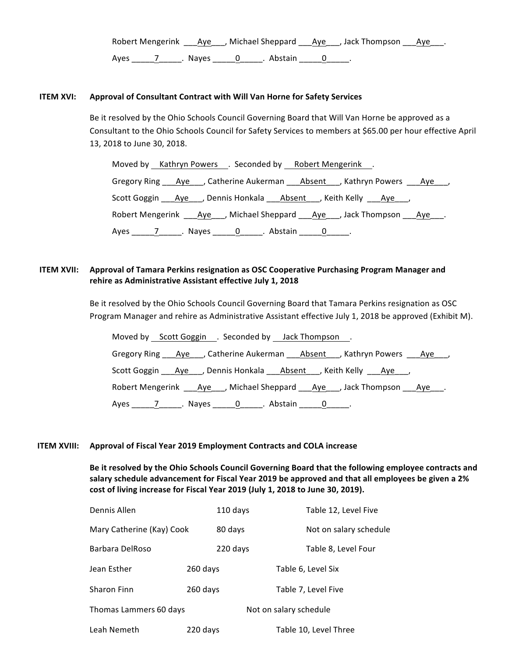Robert Mengerink Aye , Michael Sheppard Aye , Jack Thompson Aye. Ayes 7 Nayes 0 Abstain 0 .

#### **ITEM XVI:** Approval of Consultant Contract with Will Van Horne for Safety Services

Be it resolved by the Ohio Schools Council Governing Board that Will Van Horne be approved as a Consultant to the Ohio Schools Council for Safety Services to members at \$65.00 per hour effective April 13, 2018 to June 30, 2018.

Moved by Kathryn Powers . Seconded by Robert Mengerink . Gregory Ring \_\_\_Aye\_\_\_, Catherine Aukerman \_\_\_Absent\_\_\_, Kathryn Powers \_\_\_Aye\_\_\_, Scott Goggin \_\_\_\_Aye\_\_\_, Dennis Honkala \_\_\_\_\_Absent \_\_\_, Keith Kelly \_\_\_\_Aye\_\_\_, Robert Mengerink \_\_\_Aye\_\_\_, Michael Sheppard \_\_\_Aye\_\_\_, Jack Thompson \_\_\_Aye\_\_\_. Ayes 7 . Nayes 0 . Abstain 0 .

## **ITEM XVII:** Approval of Tamara Perkins resignation as OSC Cooperative Purchasing Program Manager and rehire as Administrative Assistant effective July 1, 2018

Be it resolved by the Ohio Schools Council Governing Board that Tamara Perkins resignation as OSC Program Manager and rehire as Administrative Assistant effective July 1, 2018 be approved (Exhibit M).

| Moved by Scott Goggin . Seconded by Jack Thompson.                                          |
|---------------------------------------------------------------------------------------------|
| Gregory Ring ___ Aye____, Catherine Aukerman ____ Absent____, Kathryn Powers ____ Aye____,  |
| Scott Goggin ____ Aye____, Dennis Honkala _____ Absent ____, Keith Kelly _____Aye____,      |
| Robert Mengerink ____________, Michael Sheppard ______Aye_____, Jack Thompson _____Aye____. |
|                                                                                             |

#### **ITEM XVIII:** Approval of Fiscal Year 2019 Employment Contracts and COLA increase

Be it resolved by the Ohio Schools Council Governing Board that the following employee contracts and salary schedule advancement for Fiscal Year 2019 be approved and that all employees be given a 2% cost of living increase for Fiscal Year 2019 (July 1, 2018 to June 30, 2019).

| Dennis Allen              |          | 110 days |                        | Table 12, Level Five   |
|---------------------------|----------|----------|------------------------|------------------------|
| Mary Catherine (Kay) Cook |          | 80 days  |                        | Not on salary schedule |
| Barbara DelRoso           |          | 220 days |                        | Table 8, Level Four    |
| Jean Esther               | 260 days |          |                        | Table 6, Level Six     |
| Sharon Finn               | 260 days |          |                        | Table 7, Level Five    |
| Thomas Lammers 60 days    |          |          | Not on salary schedule |                        |
| Leah Nemeth               | 220 days |          |                        | Table 10, Level Three  |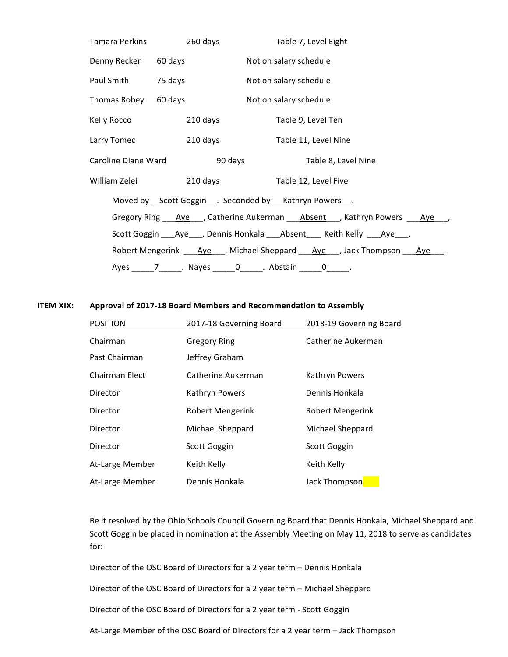|                              |          | Table 7, Level Eight                                                                                                   |
|------------------------------|----------|------------------------------------------------------------------------------------------------------------------------|
| Denny Recker 60 days         |          | Not on salary schedule                                                                                                 |
| Paul Smith 75 days           |          | Not on salary schedule                                                                                                 |
| Thomas Robey 60 days         |          | Not on salary schedule                                                                                                 |
| Kelly Rocco <b>community</b> | 210 days | Table 9, Level Ten                                                                                                     |
|                              |          | Larry Tomec 210 days Table 11, Level Nine                                                                              |
|                              |          | Caroline Diane Ward <b>Caroline Search Caroline State Caroline</b> Caroline State Oriental Age of the State Oriental C |
|                              |          |                                                                                                                        |
|                              |          | Moved by Scott Goggin . Seconded by Kathryn Powers .                                                                   |
|                              |          | Gregory Ring ___Aye___, Catherine Aukerman ___Absent___, Kathryn Powers ___Aye___,                                     |
|                              |          | Scott Goggin ____ Aye____, Dennis Honkala ____ Absent____, Keith Kelly ____ Aye____,                                   |
|                              |          | Robert Mengerink _____ Aye____, Michael Sheppard ______Aye____, Jack Thompson ______Aye____.                           |
|                              |          | Ayes ________________. Nayes _________0_______. Abstain _________0______.                                              |

### **ITEM XIX:** Approval of 2017-18 Board Members and Recommendation to Assembly

| <b>POSITION</b> | 2017-18 Governing Board | 2018-19 Governing Board |
|-----------------|-------------------------|-------------------------|
| Chairman        | <b>Gregory Ring</b>     | Catherine Aukerman      |
| Past Chairman   | Jeffrey Graham          |                         |
| Chairman Elect  | Catherine Aukerman      | Kathryn Powers          |
| Director        | Kathryn Powers          | Dennis Honkala          |
| Director        | <b>Robert Mengerink</b> | <b>Robert Mengerink</b> |
| Director        | Michael Sheppard        | Michael Sheppard        |
| Director        | Scott Goggin            | Scott Goggin            |
| At-Large Member | Keith Kelly             | Keith Kelly             |
| At-Large Member | Dennis Honkala          | Jack Thompson           |

Be it resolved by the Ohio Schools Council Governing Board that Dennis Honkala, Michael Sheppard and Scott Goggin be placed in nomination at the Assembly Meeting on May 11, 2018 to serve as candidates for:

Director of the OSC Board of Directors for a 2 year term - Dennis Honkala

Director of the OSC Board of Directors for a 2 year term - Michael Sheppard

Director of the OSC Board of Directors for a 2 year term - Scott Goggin

At-Large Member of the OSC Board of Directors for a 2 year term - Jack Thompson